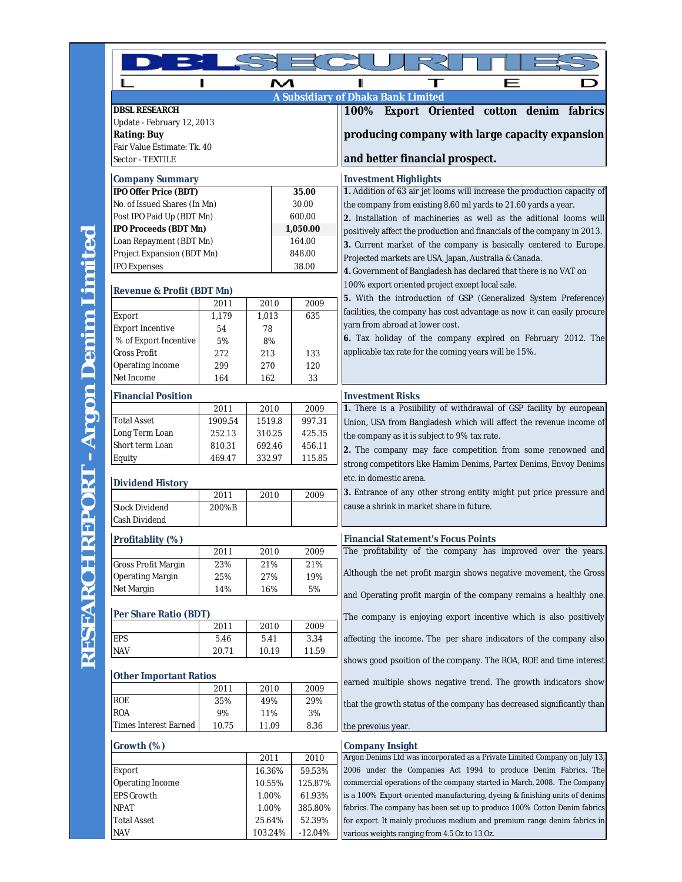| ៳<br>п<br>п<br>F                                  |         |         |           |                                                                                                |
|---------------------------------------------------|---------|---------|-----------|------------------------------------------------------------------------------------------------|
|                                                   |         |         |           | A Subsidiary of Dhaka Bank Limited                                                             |
| <b>DBSL RESEARCH</b>                              |         |         |           | 100% Export Oriented cotton denim fabrics                                                      |
| Update - February 12, 2013                        |         |         |           |                                                                                                |
| <b>Rating: Buy</b>                                |         |         |           | producing company with large capacity expansion                                                |
| Fair Value Estimate: Tk. 40                       |         |         |           |                                                                                                |
| Sector - TEXTILE                                  |         |         |           | and better financial prospect.                                                                 |
| <b>Company Summary</b>                            |         |         |           | <b>Investment Highlights</b>                                                                   |
| IPO Offer Price (BDT)                             |         |         | 35.00     | 1. Addition of 63 air jet looms will increase the production capacity of                       |
| No. of Issued Shares (In Mn)                      |         |         | 30.00     | the company from existing 8.60 ml yards to 21.60 yards a year.                                 |
| Post IPO Paid Up (BDT Mn)                         |         |         | 600.00    | 2. Installation of machineries as well as the aditional looms will                             |
| IPO Proceeds (BDT Mn)<br>1,050.00                 |         |         |           | positively affect the production and financials of the company in 2013.                        |
| Loan Repayment (BDT Mn)                           |         |         | 164.00    | 3. Current market of the company is basically centered to Europe.                              |
| Project Expansion (BDT Mn)                        |         |         | 848.00    | Projected markets are USA, Japan, Australia & Canada.                                          |
| <b>IPO Expenses</b>                               |         |         | 38.00     | 4. Government of Bangladesh has declared that there is no VAT on                               |
|                                                   |         |         |           | 100% export oriented project except local sale.                                                |
| <b>Revenue &amp; Profit (BDT Mn)</b><br>2011      |         | 2010    | 2009      | 5. With the introduction of GSP (Generalized System Preference)                                |
| Export                                            | 1,179   | 1,013   | 635       | facilities, the company has cost advantage as now it can easily procure                        |
| <b>Export Incentive</b>                           | 54      | 78      |           | yarn from abroad at lower cost.                                                                |
| % of Export Incentive                             | 5%      | 8%      |           | 6. Tax holiday of the company expired on February 2012. The                                    |
| <b>Gross Profit</b>                               | 272     | 213     | 133       | applicable tax rate for the coming years will be 15%.                                          |
| Operating Income                                  | 299     | 270     | 120       |                                                                                                |
| Net Income                                        | 164     | 162     | 33        |                                                                                                |
|                                                   |         |         |           |                                                                                                |
| <b>Financial Position</b><br>2010<br>2009<br>2011 |         |         |           | <b>Investment Risks</b><br>1. There is a Posiibility of withdrawal of GSP facility by european |
| <b>Total Asset</b>                                | 1909.54 | 1519.8  | 997.31    |                                                                                                |
| Long Term Loan                                    | 252.13  | 310.25  | 425.35    | Union, USA from Bangladesh which will affect the revenue income of                             |
| Short term Loan                                   | 810.31  | 692.46  | 456.11    | the company as it is subject to 9% tax rate.                                                   |
| Equity                                            | 469.47  | 332.97  | 115.85    | 2. The company may face competition from some renowned and                                     |
|                                                   |         |         |           | strong competitors like Hamim Denims, Partex Denims, Envoy Denims                              |
| <b>Dividend History</b>                           |         |         |           | etc. in domestic arena.                                                                        |
|                                                   | 2011    | 2010    | 2009      | 3. Entrance of any other strong entity might put price pressure and                            |
| <b>Stock Dividend</b><br>Cash Dividend            | 200%B   |         |           | cause a shrink in market share in future.                                                      |
| Profitablity (%)                                  |         |         |           | <b>Financial Statement's Focus Points</b>                                                      |
|                                                   | 2011    | 2010    | 2009      | The profitability of the company has improved over the years                                   |
| Gross Profit Margin                               | 23%     | 21%     | 21%       |                                                                                                |
| Operating Margin                                  | 25%     | 27%     | 19%       | Although the net profit margin shows negative movement, the Gross                              |
| Net Margin                                        | 14%     | 16%     | 5%        | and Operating profit margin of the company remains a healthly one.                             |
|                                                   |         |         |           |                                                                                                |
| Per Share Ratio (BDT)<br>2011<br>2010<br>2009     |         |         |           | The company is enjoying export incentive which is also positively                              |
| EPS                                               | 5.46    | 5.41    | 3.34      | affecting the income. The per share indicators of the company also                             |
| <b>NAV</b>                                        | 20.71   | 10.19   | 11.59     |                                                                                                |
|                                                   |         |         |           | shows good psoition of the company. The ROA, ROE and time interest                             |
| <b>Other Important Ratios</b>                     |         |         |           | earned multiple shows negative trend. The growth indicators show                               |
|                                                   | 2011    | 2010    | 2009      |                                                                                                |
| ROE                                               | 35%     | 49%     | 29%       | that the growth status of the company has decreased significantly than                         |
| <b>ROA</b>                                        | 9%      | 11%     | 3%        |                                                                                                |
| <b>Times Interest Earned</b>                      | 10.75   | 11.09   | 8.36      | the prevoius year.                                                                             |
| Growth (%)                                        |         |         |           | <b>Company Insight</b>                                                                         |
|                                                   |         | 2011    | 2010      | Argon Denims Ltd was incorporated as a Private Limited Company on July 13,                     |
| Export                                            |         | 16.36%  | 59.53%    | 2006 under the Companies Act 1994 to produce Denim Fabrics. The                                |
| Operating Income<br>10.55%                        |         |         | 125.87%   | commercial operations of the company started in March, 2008. The Company                       |
| <b>EPS Growth</b>                                 |         | 1.00%   | 61.93%    | is a 100% Export oriented manufacturing, dyeing & finishing units of denims                    |
| <b>NPAT</b><br>1.00%                              |         |         | 385.80%   | fabrics. The company has been set up to produce 100% Cotton Denim fabrics                      |
| Total Asset<br>25.64%                             |         |         | 52.39%    | for export. It mainly produces medium and premium range denim fabrics in                       |
| <b>NAV</b>                                        |         | 103.24% | $-12.04%$ | various weights ranging from 4.5 Oz to 13 Oz.                                                  |